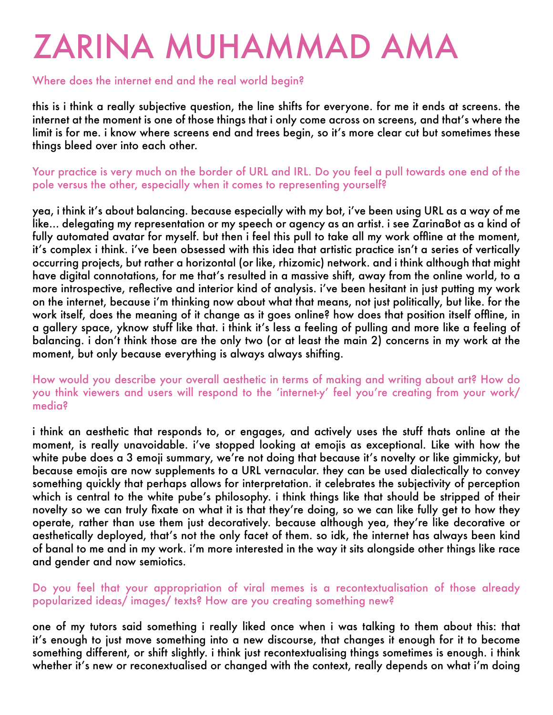# ZARINA MUHAMMAD AMA

# Where does the internet end and the real world begin?

this is i think a really subjective question, the line shifts for everyone. for me it ends at screens. the internet at the moment is one of those things that i only come across on screens, and that's where the limit is for me. i know where screens end and trees begin, so it's more clear cut but sometimes these things bleed over into each other.

Your practice is very much on the border of URL and IRL. Do you feel a pull towards one end of the pole versus the other, especially when it comes to representing yourself?

yea, i think it's about balancing. because especially with my bot, i've been using URL as a way of me like... delegating my representation or my speech or agency as an artist. i see ZarinaBot as a kind of fully automated avatar for myself. but then i feel this pull to take all my work offline at the moment, it's complex i think. i've been obsessed with this idea that artistic practice isn't a series of vertically occurring projects, but rather a horizontal (or like, rhizomic) network. and i think although that might have digital connotations, for me that's resulted in a massive shift, away from the online world, to a more introspective, reflective and interior kind of analysis. i've been hesitant in just putting my work on the internet, because i'm thinking now about what that means, not just politically, but like. for the work itself, does the meaning of it change as it goes online? how does that position itself offline, in a gallery space, yknow stuff like that. i think it's less a feeling of pulling and more like a feeling of balancing. i don't think those are the only two (or at least the main 2) concerns in my work at the moment, but only because everything is always always shifting.

How would you describe your overall aesthetic in terms of making and writing about art? How do you think viewers and users will respond to the 'internet-y' feel you're creating from your work/ media?

i think an aesthetic that responds to, or engages, and actively uses the stuff thats online at the moment, is really unavoidable. i've stopped looking at emojis as exceptional. Like with how the white pube does a 3 emoji summary, we're not doing that because it's novelty or like gimmicky, but because emojis are now supplements to a URL vernacular. they can be used dialectically to convey something quickly that perhaps allows for interpretation. it celebrates the subjectivity of perception which is central to the white pube's philosophy. i think things like that should be stripped of their novelty so we can truly fixate on what it is that they're doing, so we can like fully get to how they operate, rather than use them just decoratively. because although yea, they're like decorative or aesthetically deployed, that's not the only facet of them. so idk, the internet has always been kind of banal to me and in my work. i'm more interested in the way it sits alongside other things like race and gender and now semiotics.

#### Do you feel that your appropriation of viral memes is a recontextualisation of those already popularized ideas/ images/ texts? How are you creating something new?

one of my tutors said something i really liked once when i was talking to them about this: that it's enough to just move something into a new discourse, that changes it enough for it to become something different, or shift slightly. i think just recontextualising things sometimes is enough. i think whether it's new or reconextualised or changed with the context, really depends on what i'm doing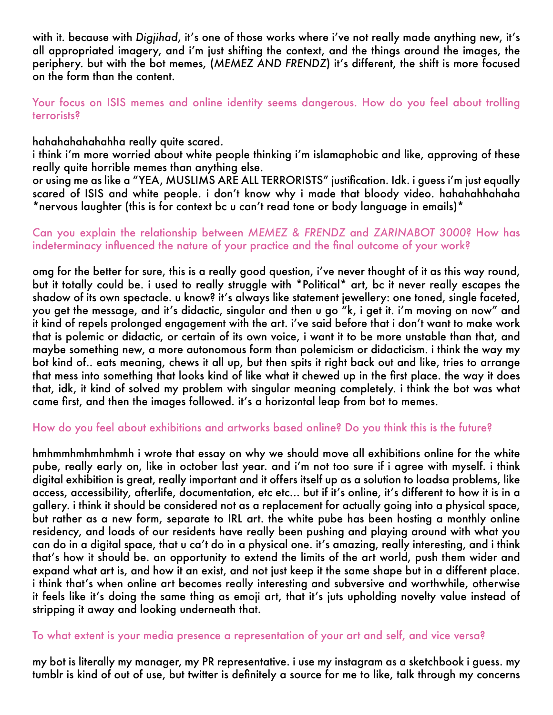with it. because with *Digjihad*, it's one of those works where i've not really made anything new, it's all appropriated imagery, and i'm just shifting the context, and the things around the images, the periphery. but with the bot memes, (*MEMEZ AND FRENDZ*) it's different, the shift is more focused on the form than the content.

Your focus on ISIS memes and online identity seems dangerous. How do you feel about trolling terrorists?

hahahahahahahha really quite scared.

i think i'm more worried about white people thinking i'm islamaphobic and like, approving of these really quite horrible memes than anything else.

or using me as like a "YEA, MUSLIMS ARE ALL TERRORISTS" justification. Idk. i guess i'm just equally scared of ISIS and white people. i don't know why i made that bloody video. hahahahhahaha \*nervous laughter (this is for context bc u can't read tone or body language in emails)\*

#### Can you explain the relationship between *MEMEZ & FRENDZ* and *ZARINABOT 3000*? How has indeterminacy influenced the nature of your practice and the final outcome of your work?

omg for the better for sure, this is a really good question, i've never thought of it as this way round, but it totally could be. i used to really struggle with \*Political\* art, bc it never really escapes the shadow of its own spectacle. u know? it's always like statement jewellery: one toned, single faceted, you get the message, and it's didactic, singular and then u go "k, i get it. i'm moving on now" and it kind of repels prolonged engagement with the art. i've said before that i don't want to make work that is polemic or didactic, or certain of its own voice, i want it to be more unstable than that, and maybe something new, a more autonomous form than polemicism or didacticism. i think the way my bot kind of.. eats meaning, chews it all up, but then spits it right back out and like, tries to arrange that mess into something that looks kind of like what it chewed up in the first place. the way it does that, idk, it kind of solved my problem with singular meaning completely. i think the bot was what came first, and then the images followed. it's a horizontal leap from bot to memes.

## How do you feel about exhibitions and artworks based online? Do you think this is the future?

hmhmmhmhmhmhmh i wrote that essay on why we should move all exhibitions online for the white pube, really early on, like in october last year. and i'm not too sure if i agree with myself. i think digital exhibition is great, really important and it offers itself up as a solution to loadsa problems, like access, accessibility, afterlife, documentation, etc etc… but if it's online, it's different to how it is in a gallery. i think it should be considered not as a replacement for actually going into a physical space, but rather as a new form, separate to IRL art. the white pube has been hosting a monthly online residency, and loads of our residents have really been pushing and playing around with what you can do in a digital space, that u ca't do in a physical one. it's amazing, really interesting, and i think that's how it should be. an opportunity to extend the limits of the art world, push them wider and expand what art is, and how it an exist, and not just keep it the same shape but in a different place. i think that's when online art becomes really interesting and subversive and worthwhile, otherwise it feels like it's doing the same thing as emoji art, that it's juts upholding novelty value instead of stripping it away and looking underneath that.

## To what extent is your media presence a representation of your art and self, and vice versa?

my bot is literally my manager, my PR representative. i use my instagram as a sketchbook i guess. my tumblr is kind of out of use, but twitter is definitely a source for me to like, talk through my concerns